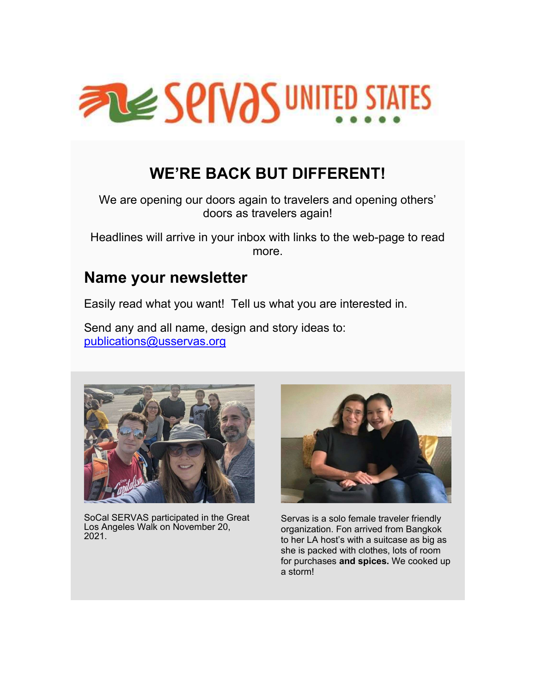

# WE'RE BACK BUT DIFFERENT!

We are opening our doors again to travelers and opening others' doors as travelers again!

Headlines will arrive in your inbox with links to the web-page to read more.

#### Name your newsletter

Easily read what you want! Tell us what you are interested in.

Send any and all name, design and story ideas to: publications@usservas.org



SoCal SERVAS participated in the Great Los Angeles Walk on November 20, 2021.



Servas is a solo female traveler friendly organization. Fon arrived from Bangkok to her LA host's with a suitcase as big as she is packed with clothes, lots of room for purchases and spices. We cooked up a storm!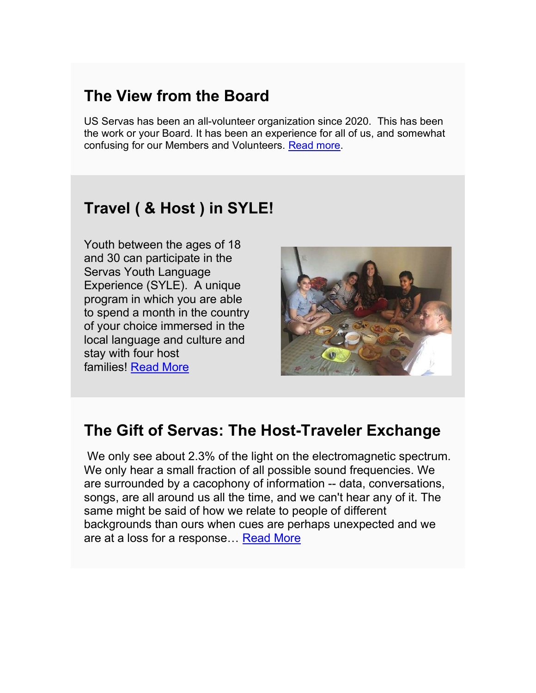### The View from the Board

US Servas has been an all-volunteer organization since 2020. This has been the work or your Board. It has been an experience for all of us, and somewhat confusing for our Members and Volunteers. Read more.

### Travel ( & Host ) in SYLE!

Youth between the ages of 18 and 30 can participate in the Servas Youth Language Experience (SYLE). A unique program in which you are able to spend a month in the country of your choice immersed in the local language and culture and stay with four host families! Read More



### The Gift of Servas: The Host-Traveler Exchange

We only see about 2.3% of the light on the electromagnetic spectrum. We only hear a small fraction of all possible sound frequencies. We are surrounded by a cacophony of information -- data, conversations, songs, are all around us all the time, and we can't hear any of it. The same might be said of how we relate to people of different backgrounds than ours when cues are perhaps unexpected and we are at a loss for a response… Read More